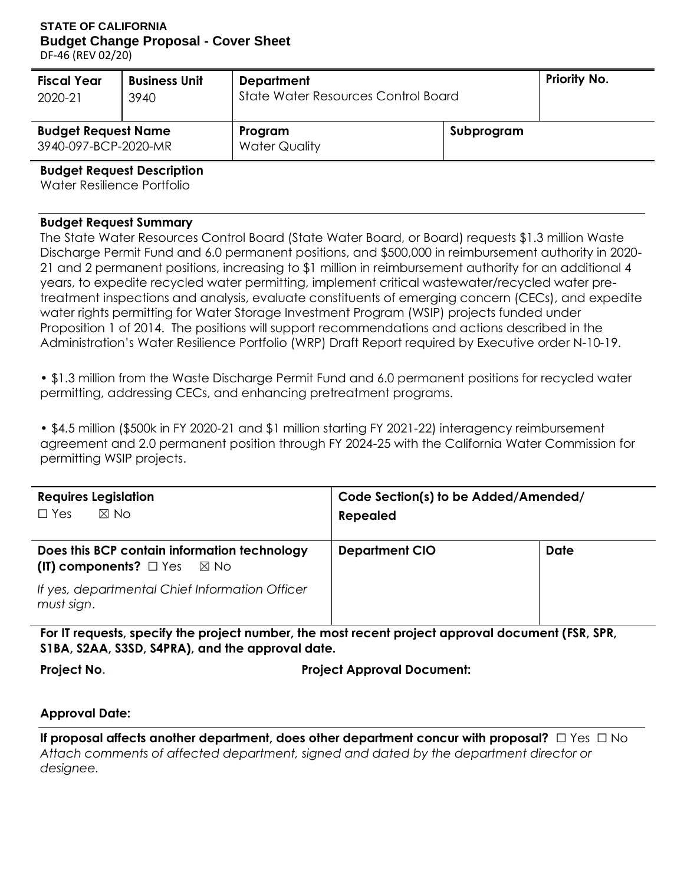## **STATE OF CALIFORNIA Budget Change Proposal - Cover Sheet**

DF-46 (REV 02/20)

| <b>Fiscal Year</b>                                 | <b>Business Unit</b> | <b>Department</b>                   | <b>Priority No.</b> |  |
|----------------------------------------------------|----------------------|-------------------------------------|---------------------|--|
| 2020-21                                            | 3940                 | State Water Resources Control Board |                     |  |
| <b>Budget Request Name</b><br>3940-097-BCP-2020-MR |                      | Program<br><b>Water Quality</b>     | Subprogram          |  |

**Budget Request Description**

Water Resilience Portfolio

#### **Budget Request Summary**

The State Water Resources Control Board (State Water Board, or Board) requests \$1.3 million Waste Discharge Permit Fund and 6.0 permanent positions, and \$500,000 in reimbursement authority in 2020- 21 and 2 permanent positions, increasing to \$1 million in reimbursement authority for an additional 4 years, to expedite recycled water permitting, implement critical wastewater/recycled water pretreatment inspections and analysis, evaluate constituents of emerging concern (CECs), and expedite water rights permitting for Water Storage Investment Program (WSIP) projects funded under Proposition 1 of 2014. The positions will support recommendations and actions described in the Administration's Water Resilience Portfolio (WRP) Draft Report required by Executive order N-10-19.

• \$1.3 million from the Waste Discharge Permit Fund and 6.0 permanent positions for recycled water permitting, addressing CECs, and enhancing pretreatment programs.

• \$4.5 million (\$500k in FY 2020-21 and \$1 million starting FY 2021-22) interagency reimbursement agreement and 2.0 permanent position through FY 2024-25 with the California Water Commission for permitting WSIP projects.

| <b>Requires Legislation</b><br>$\boxtimes$ No<br>$\Box$ Yes                                 | Code Section(s) to be Added/Amended/<br><b>Repealed</b> |             |
|---------------------------------------------------------------------------------------------|---------------------------------------------------------|-------------|
| Does this BCP contain information technology<br>(IT) components? $\square$ Yes $\square$ No | <b>Department CIO</b>                                   | <b>Date</b> |
| If yes, departmental Chief Information Officer<br>must sign.                                |                                                         |             |

**For IT requests, specify the project number, the most recent project approval document (FSR, SPR, S1BA, S2AA, S3SD, S4PRA), and the approval date.**

**Project No. Project Approval Document:**

### **Approval Date:**

**If proposal affects another department, does other department concur with proposal?** □ Yes □ No *Attach comments of affected department, signed and dated by the department director or designee.*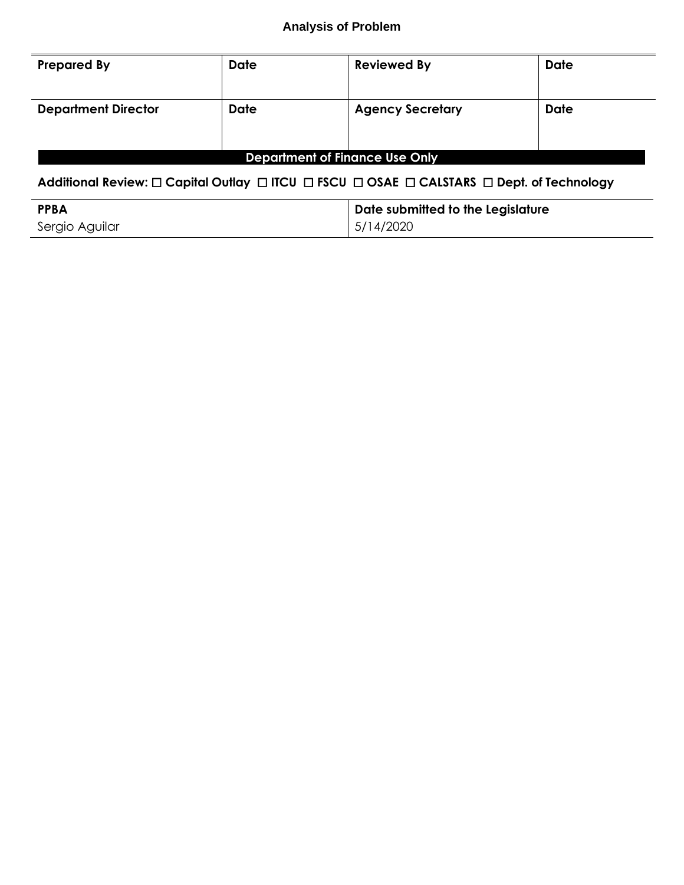| <b>Prepared By</b>                    | <b>Date</b> | <b>Reviewed By</b>      | <b>Date</b> |  |  |  |  |
|---------------------------------------|-------------|-------------------------|-------------|--|--|--|--|
| <b>Department Director</b>            | <b>Date</b> | <b>Agency Secretary</b> | <b>Date</b> |  |  |  |  |
| <b>Department of Finance Use Only</b> |             |                         |             |  |  |  |  |

## **Additional Review:** ☐ **Capital Outlay** ☐ **ITCU** ☐ **FSCU** ☐ **OSAE** ☐ **CALSTARS** ☐ **Dept. of Technology**

| <b>PPBA</b>    | Date submitted to the Legislature |
|----------------|-----------------------------------|
| Sergio Aguilar | 15/14/2020                        |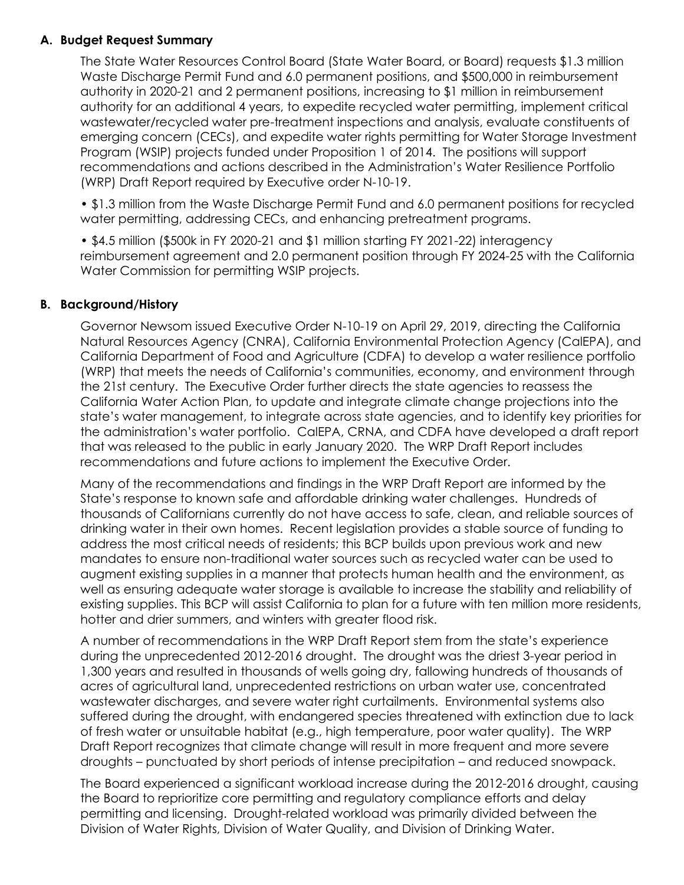### **A. Budget Request Summary**

The State Water Resources Control Board (State Water Board, or Board) requests \$1.3 million Waste Discharge Permit Fund and 6.0 permanent positions, and \$500,000 in reimbursement authority in 2020-21 and 2 permanent positions, increasing to \$1 million in reimbursement authority for an additional 4 years, to expedite recycled water permitting, implement critical wastewater/recycled water pre-treatment inspections and analysis, evaluate constituents of emerging concern (CECs), and expedite water rights permitting for Water Storage Investment Program (WSIP) projects funded under Proposition 1 of 2014. The positions will support recommendations and actions described in the Administration's Water Resilience Portfolio (WRP) Draft Report required by Executive order N-10-19.

• \$1.3 million from the Waste Discharge Permit Fund and 6.0 permanent positions for recycled water permitting, addressing CECs, and enhancing pretreatment programs.

• \$4.5 million (\$500k in FY 2020-21 and \$1 million starting FY 2021-22) interagency reimbursement agreement and 2.0 permanent position through FY 2024-25 with the California Water Commission for permitting WSIP projects.

#### **B. Background/History**

Governor Newsom issued Executive Order N-10-19 on April 29, 2019, directing the California Natural Resources Agency (CNRA), California Environmental Protection Agency (CalEPA), and California Department of Food and Agriculture (CDFA) to develop a water resilience portfolio (WRP) that meets the needs of California's communities, economy, and environment through the 21st century. The Executive Order further directs the state agencies to reassess the California Water Action Plan, to update and integrate climate change projections into the state's water management, to integrate across state agencies, and to identify key priorities for the administration's water portfolio. CalEPA, CRNA, and CDFA have developed a draft report that was released to the public in early January 2020. The WRP Draft Report includes recommendations and future actions to implement the Executive Order.

Many of the recommendations and findings in the WRP Draft Report are informed by the State's response to known safe and affordable drinking water challenges. Hundreds of thousands of Californians currently do not have access to safe, clean, and reliable sources of drinking water in their own homes. Recent legislation provides a stable source of funding to address the most critical needs of residents; this BCP builds upon previous work and new mandates to ensure non-traditional water sources such as recycled water can be used to augment existing supplies in a manner that protects human health and the environment, as well as ensuring adequate water storage is available to increase the stability and reliability of existing supplies. This BCP will assist California to plan for a future with ten million more residents, hotter and drier summers, and winters with greater flood risk.

A number of recommendations in the WRP Draft Report stem from the state's experience during the unprecedented 2012-2016 drought. The drought was the driest 3-year period in 1,300 years and resulted in thousands of wells going dry, fallowing hundreds of thousands of acres of agricultural land, unprecedented restrictions on urban water use, concentrated wastewater discharges, and severe water right curtailments. Environmental systems also suffered during the drought, with endangered species threatened with extinction due to lack of fresh water or unsuitable habitat (e.g., high temperature, poor water quality). The WRP Draft Report recognizes that climate change will result in more frequent and more severe droughts – punctuated by short periods of intense precipitation – and reduced snowpack.

The Board experienced a significant workload increase during the 2012-2016 drought, causing the Board to reprioritize core permitting and regulatory compliance efforts and delay permitting and licensing. Drought-related workload was primarily divided between the Division of Water Rights, Division of Water Quality, and Division of Drinking Water.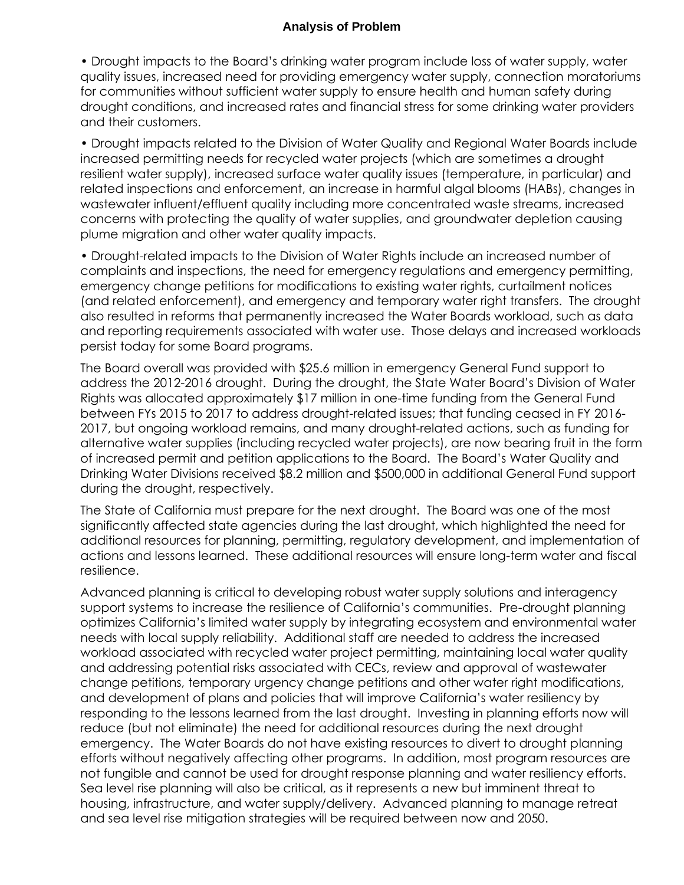• Drought impacts to the Board's drinking water program include loss of water supply, water quality issues, increased need for providing emergency water supply, connection moratoriums for communities without sufficient water supply to ensure health and human safety during drought conditions, and increased rates and financial stress for some drinking water providers and their customers.

• Drought impacts related to the Division of Water Quality and Regional Water Boards include increased permitting needs for recycled water projects (which are sometimes a drought resilient water supply), increased surface water quality issues (temperature, in particular) and related inspections and enforcement, an increase in harmful algal blooms (HABs), changes in wastewater influent/effluent quality including more concentrated waste streams, increased concerns with protecting the quality of water supplies, and groundwater depletion causing plume migration and other water quality impacts.

• Drought-related impacts to the Division of Water Rights include an increased number of complaints and inspections, the need for emergency regulations and emergency permitting, emergency change petitions for modifications to existing water rights, curtailment notices (and related enforcement), and emergency and temporary water right transfers. The drought also resulted in reforms that permanently increased the Water Boards workload, such as data and reporting requirements associated with water use. Those delays and increased workloads persist today for some Board programs.

The Board overall was provided with \$25.6 million in emergency General Fund support to address the 2012-2016 drought. During the drought, the State Water Board's Division of Water Rights was allocated approximately \$17 million in one-time funding from the General Fund between FYs 2015 to 2017 to address drought-related issues; that funding ceased in FY 2016- 2017, but ongoing workload remains, and many drought-related actions, such as funding for alternative water supplies (including recycled water projects), are now bearing fruit in the form of increased permit and petition applications to the Board. The Board's Water Quality and Drinking Water Divisions received \$8.2 million and \$500,000 in additional General Fund support during the drought, respectively.

The State of California must prepare for the next drought. The Board was one of the most significantly affected state agencies during the last drought, which highlighted the need for additional resources for planning, permitting, regulatory development, and implementation of actions and lessons learned. These additional resources will ensure long-term water and fiscal resilience.

Advanced planning is critical to developing robust water supply solutions and interagency support systems to increase the resilience of California's communities. Pre-drought planning optimizes California's limited water supply by integrating ecosystem and environmental water needs with local supply reliability. Additional staff are needed to address the increased workload associated with recycled water project permitting, maintaining local water quality and addressing potential risks associated with CECs, review and approval of wastewater change petitions, temporary urgency change petitions and other water right modifications, and development of plans and policies that will improve California's water resiliency by responding to the lessons learned from the last drought. Investing in planning efforts now will reduce (but not eliminate) the need for additional resources during the next drought emergency. The Water Boards do not have existing resources to divert to drought planning efforts without negatively affecting other programs. In addition, most program resources are not fungible and cannot be used for drought response planning and water resiliency efforts. Sea level rise planning will also be critical, as it represents a new but imminent threat to housing, infrastructure, and water supply/delivery. Advanced planning to manage retreat and sea level rise mitigation strategies will be required between now and 2050.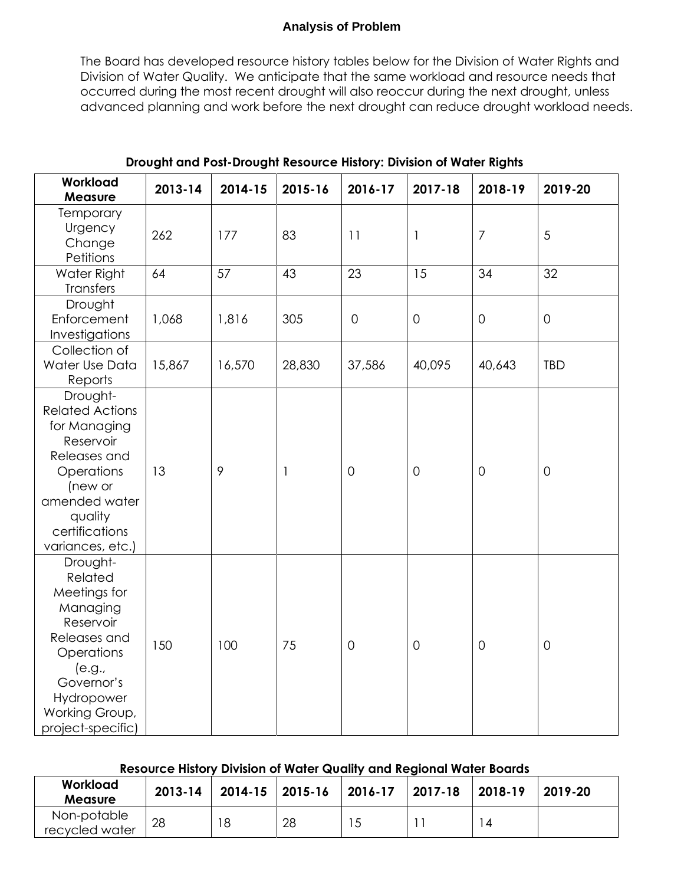The Board has developed resource history tables below for the Division of Water Rights and Division of Water Quality. We anticipate that the same workload and resource needs that occurred during the most recent drought will also reoccur during the next drought, unless advanced planning and work before the next drought can reduce drought workload needs.

| Workload<br><b>Measure</b>                                                                                                                                                 | 2013-14 | 2014-15 | 2015-16 | 2016-17             | 2017-18             | 2018-19        | 2019-20        |
|----------------------------------------------------------------------------------------------------------------------------------------------------------------------------|---------|---------|---------|---------------------|---------------------|----------------|----------------|
| <b>Temporary</b><br>Urgency<br>Change<br>Petitions                                                                                                                         | 262     | 177     | 83      | 11                  | $\mathbf{1}$        | $\overline{7}$ | 5              |
| Water Right<br>Transfers                                                                                                                                                   | 64      | 57      | 43      | 23                  | 15                  | 34             | 32             |
| Drought<br>Enforcement<br>Investigations                                                                                                                                   | 1,068   | 1,816   | 305     | $\mathsf{O}\xspace$ | $\mathsf{O}\xspace$ | $\mathbf 0$    | $\overline{0}$ |
| Collection of<br>Water Use Data<br>Reports                                                                                                                                 | 15,867  | 16,570  | 28,830  | 37,586              | 40,095              | 40,643         | <b>TBD</b>     |
| Drought-<br><b>Related Actions</b><br>for Managing<br>Reservoir<br>Releases and<br>Operations<br>(new or<br>amended water<br>quality<br>certifications<br>variances, etc.) | 13      | 9       | 1       | $\overline{0}$      | $\mathsf{O}\xspace$ | $\mathbf 0$    | $\overline{O}$ |
| Drought-<br>Related<br>Meetings for<br>Managing<br>Reservoir<br>Releases and<br>Operations<br>(e.g.,<br>Governor's<br>Hydropower<br>Working Group,<br>project-specific)    | 150     | 100     | 75      | $\overline{0}$      | $\mathbf 0$         | $\mathsf{O}$   | $\overline{0}$ |

### **Drought and Post-Drought Resource History: Division of Water Rights**

## **Resource History Division of Water Quality and Regional Water Boards**

| Workload<br>Measure           | 2013-14 | 2014-15   2015-16 |    | $ 2016-17$ | 2017-18 | 2018-19 | 2019-20 |
|-------------------------------|---------|-------------------|----|------------|---------|---------|---------|
| Non-potable<br>recycled water | 28      | 18                | 28 |            |         | 4       |         |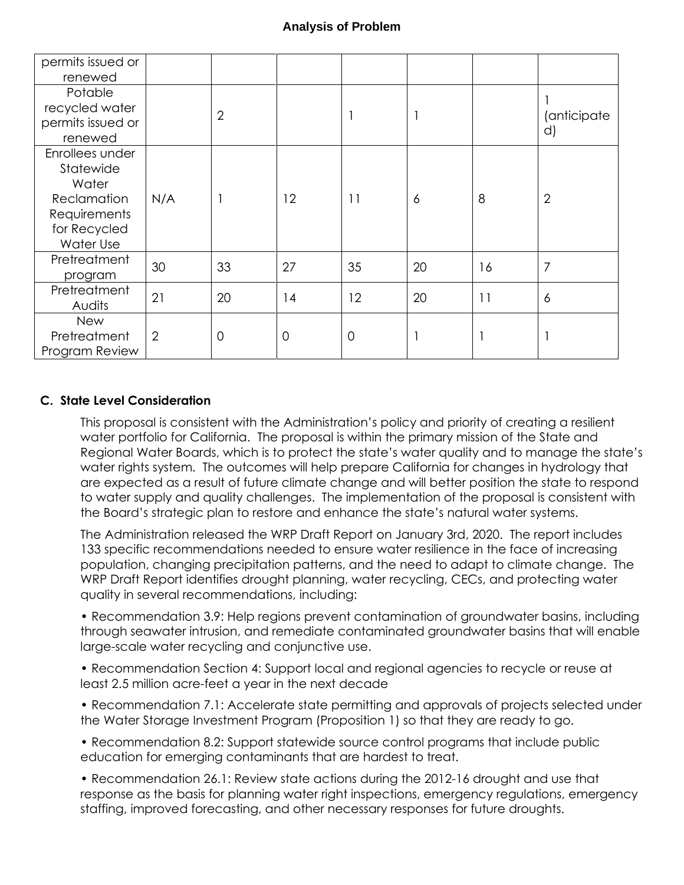| permits issued or<br>renewed                                                                      |     |                |             |    |    |    |                   |
|---------------------------------------------------------------------------------------------------|-----|----------------|-------------|----|----|----|-------------------|
| Potable<br>recycled water<br>permits issued or<br>renewed                                         |     | $\overline{2}$ |             |    |    |    | (anticipate<br>d) |
| Enrollees under<br>Statewide<br>Water<br>Reclamation<br>Requirements<br>for Recycled<br>Water Use | N/A |                | 12          | 11 | 6  | 8  | $\overline{2}$    |
| Pretreatment<br>program                                                                           | 30  | 33             | 27          | 35 | 20 | 16 | 7                 |
| Pretreatment<br>Audits                                                                            | 21  | 20             | 14          | 12 | 20 | 11 | $\overline{6}$    |
| <b>New</b><br>Pretreatment<br>Program Review                                                      | 2   | $\overline{0}$ | $\mathbf 0$ | 0  |    |    |                   |

### **C. State Level Consideration**

This proposal is consistent with the Administration's policy and priority of creating a resilient water portfolio for California. The proposal is within the primary mission of the State and Regional Water Boards, which is to protect the state's water quality and to manage the state's water rights system. The outcomes will help prepare California for changes in hydrology that are expected as a result of future climate change and will better position the state to respond to water supply and quality challenges. The implementation of the proposal is consistent with the Board's strategic plan to restore and enhance the state's natural water systems.

The Administration released the WRP Draft Report on January 3rd, 2020. The report includes 133 specific recommendations needed to ensure water resilience in the face of increasing population, changing precipitation patterns, and the need to adapt to climate change. The WRP Draft Report identifies drought planning, water recycling, CECs, and protecting water quality in several recommendations, including:

• Recommendation 3.9: Help regions prevent contamination of groundwater basins, including through seawater intrusion, and remediate contaminated groundwater basins that will enable large-scale water recycling and conjunctive use.

• Recommendation Section 4: Support local and regional agencies to recycle or reuse at least 2.5 million acre-feet a year in the next decade

• Recommendation 7.1: Accelerate state permitting and approvals of projects selected under the Water Storage Investment Program (Proposition 1) so that they are ready to go.

• Recommendation 8.2: Support statewide source control programs that include public education for emerging contaminants that are hardest to treat.

• Recommendation 26.1: Review state actions during the 2012-16 drought and use that response as the basis for planning water right inspections, emergency regulations, emergency staffing, improved forecasting, and other necessary responses for future droughts.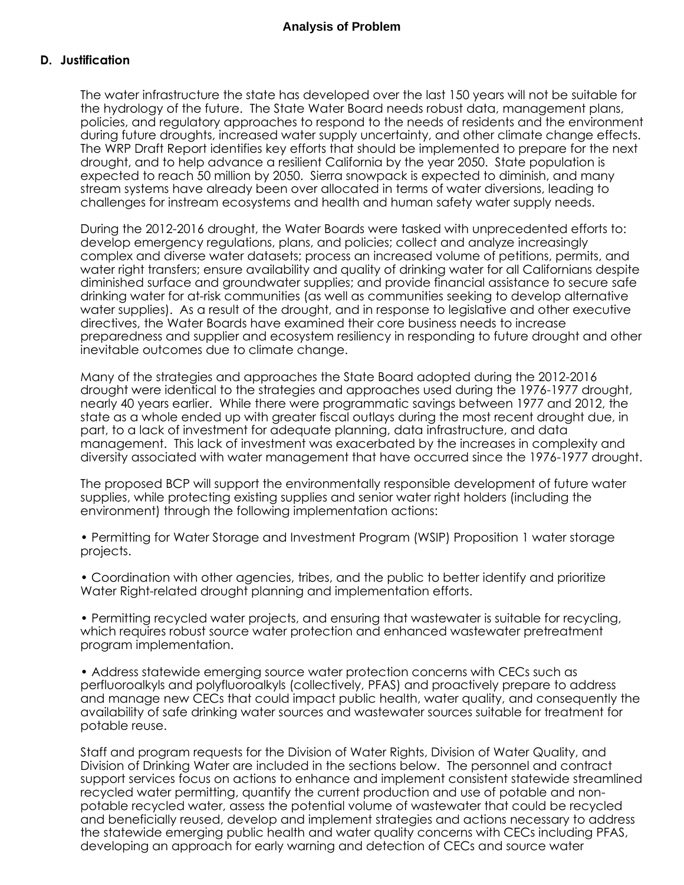#### **D. Justification**

The water infrastructure the state has developed over the last 150 years will not be suitable for the hydrology of the future. The State Water Board needs robust data, management plans, policies, and regulatory approaches to respond to the needs of residents and the environment during future droughts, increased water supply uncertainty, and other climate change effects. The WRP Draft Report identifies key efforts that should be implemented to prepare for the next drought, and to help advance a resilient California by the year 2050. State population is expected to reach 50 million by 2050. Sierra snowpack is expected to diminish, and many stream systems have already been over allocated in terms of water diversions, leading to challenges for instream ecosystems and health and human safety water supply needs.

During the 2012-2016 drought, the Water Boards were tasked with unprecedented efforts to: develop emergency regulations, plans, and policies; collect and analyze increasingly complex and diverse water datasets; process an increased volume of petitions, permits, and water right transfers; ensure availability and quality of drinking water for all Californians despite diminished surface and groundwater supplies; and provide financial assistance to secure safe drinking water for at-risk communities (as well as communities seeking to develop alternative water supplies). As a result of the drought, and in response to legislative and other executive directives, the Water Boards have examined their core business needs to increase preparedness and supplier and ecosystem resiliency in responding to future drought and other inevitable outcomes due to climate change.

Many of the strategies and approaches the State Board adopted during the 2012-2016 drought were identical to the strategies and approaches used during the 1976-1977 drought, nearly 40 years earlier. While there were programmatic savings between 1977 and 2012, the state as a whole ended up with greater fiscal outlays during the most recent drought due, in part, to a lack of investment for adequate planning, data infrastructure, and data management. This lack of investment was exacerbated by the increases in complexity and diversity associated with water management that have occurred since the 1976-1977 drought.

The proposed BCP will support the environmentally responsible development of future water supplies, while protecting existing supplies and senior water right holders (including the environment) through the following implementation actions:

• Permitting for Water Storage and Investment Program (WSIP) Proposition 1 water storage projects.

• Coordination with other agencies, tribes, and the public to better identify and prioritize Water Right-related drought planning and implementation efforts.

• Permitting recycled water projects, and ensuring that wastewater is suitable for recycling, which requires robust source water protection and enhanced wastewater pretreatment program implementation.

• Address statewide emerging source water protection concerns with CECs such as perfluoroalkyls and polyfluoroalkyls (collectively, PFAS) and proactively prepare to address and manage new CECs that could impact public health, water quality, and consequently the availability of safe drinking water sources and wastewater sources suitable for treatment for potable reuse.

Staff and program requests for the Division of Water Rights, Division of Water Quality, and Division of Drinking Water are included in the sections below. The personnel and contract support services focus on actions to enhance and implement consistent statewide streamlined recycled water permitting, quantify the current production and use of potable and nonpotable recycled water, assess the potential volume of wastewater that could be recycled and beneficially reused, develop and implement strategies and actions necessary to address the statewide emerging public health and water quality concerns with CECs including PFAS, developing an approach for early warning and detection of CECs and source water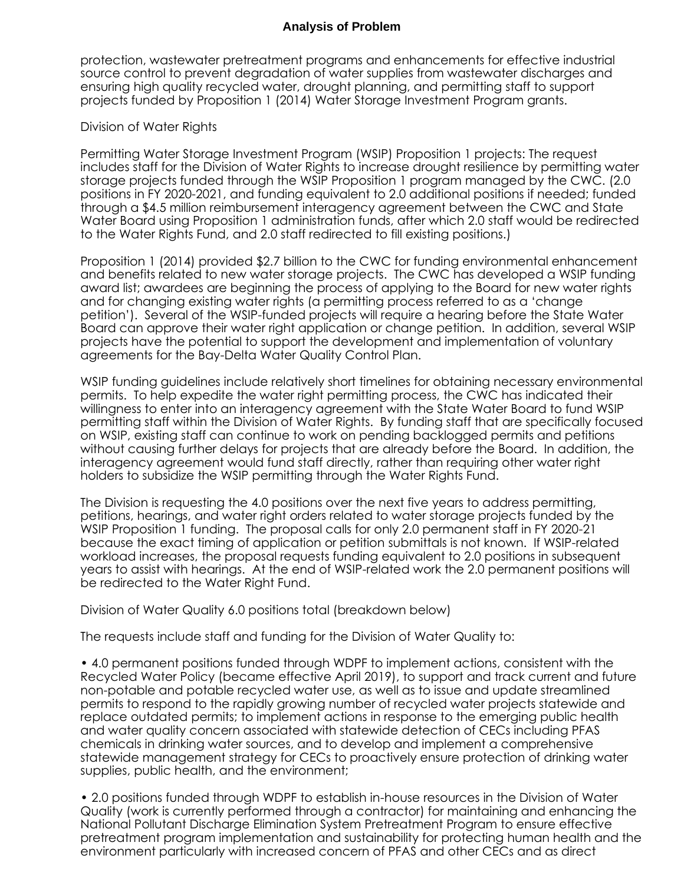protection, wastewater pretreatment programs and enhancements for effective industrial source control to prevent degradation of water supplies from wastewater discharges and ensuring high quality recycled water, drought planning, and permitting staff to support projects funded by Proposition 1 (2014) Water Storage Investment Program grants.

#### Division of Water Rights

Permitting Water Storage Investment Program (WSIP) Proposition 1 projects: The request includes staff for the Division of Water Rights to increase drought resilience by permitting water storage projects funded through the WSIP Proposition 1 program managed by the CWC. (2.0 positions in FY 2020-2021, and funding equivalent to 2.0 additional positions if needed; funded through a \$4.5 million reimbursement interagency agreement between the CWC and State Water Board using Proposition 1 administration funds, after which 2.0 staff would be redirected to the Water Rights Fund, and 2.0 staff redirected to fill existing positions.)

Proposition 1 (2014) provided \$2.7 billion to the CWC for funding environmental enhancement and benefits related to new water storage projects. The CWC has developed a WSIP funding award list; awardees are beginning the process of applying to the Board for new water rights and for changing existing water rights (a permitting process referred to as a 'change petition'). Several of the WSIP-funded projects will require a hearing before the State Water Board can approve their water right application or change petition. In addition, several WSIP projects have the potential to support the development and implementation of voluntary agreements for the Bay-Delta Water Quality Control Plan.

WSIP funding guidelines include relatively short timelines for obtaining necessary environmental permits. To help expedite the water right permitting process, the CWC has indicated their willingness to enter into an interagency agreement with the State Water Board to fund WSIP permitting staff within the Division of Water Rights. By funding staff that are specifically focused on WSIP, existing staff can continue to work on pending backlogged permits and petitions without causing further delays for projects that are already before the Board. In addition, the interagency agreement would fund staff directly, rather than requiring other water right holders to subsidize the WSIP permitting through the Water Rights Fund.

The Division is requesting the 4.0 positions over the next five years to address permitting, petitions, hearings, and water right orders related to water storage projects funded by the WSIP Proposition 1 funding. The proposal calls for only 2.0 permanent staff in FY 2020-21 because the exact timing of application or petition submittals is not known. If WSIP-related workload increases, the proposal requests funding equivalent to 2.0 positions in subsequent years to assist with hearings. At the end of WSIP-related work the 2.0 permanent positions will be redirected to the Water Right Fund.

Division of Water Quality 6.0 positions total (breakdown below)

The requests include staff and funding for the Division of Water Quality to:

• 4.0 permanent positions funded through WDPF to implement actions, consistent with the Recycled Water Policy (became effective April 2019), to support and track current and future non-potable and potable recycled water use, as well as to issue and update streamlined permits to respond to the rapidly growing number of recycled water projects statewide and replace outdated permits; to implement actions in response to the emerging public health and water quality concern associated with statewide detection of CECs including PFAS chemicals in drinking water sources, and to develop and implement a comprehensive statewide management strategy for CECs to proactively ensure protection of drinking water supplies, public health, and the environment;

• 2.0 positions funded through WDPF to establish in-house resources in the Division of Water Quality (work is currently performed through a contractor) for maintaining and enhancing the National Pollutant Discharge Elimination System Pretreatment Program to ensure effective pretreatment program implementation and sustainability for protecting human health and the environment particularly with increased concern of PFAS and other CECs and as direct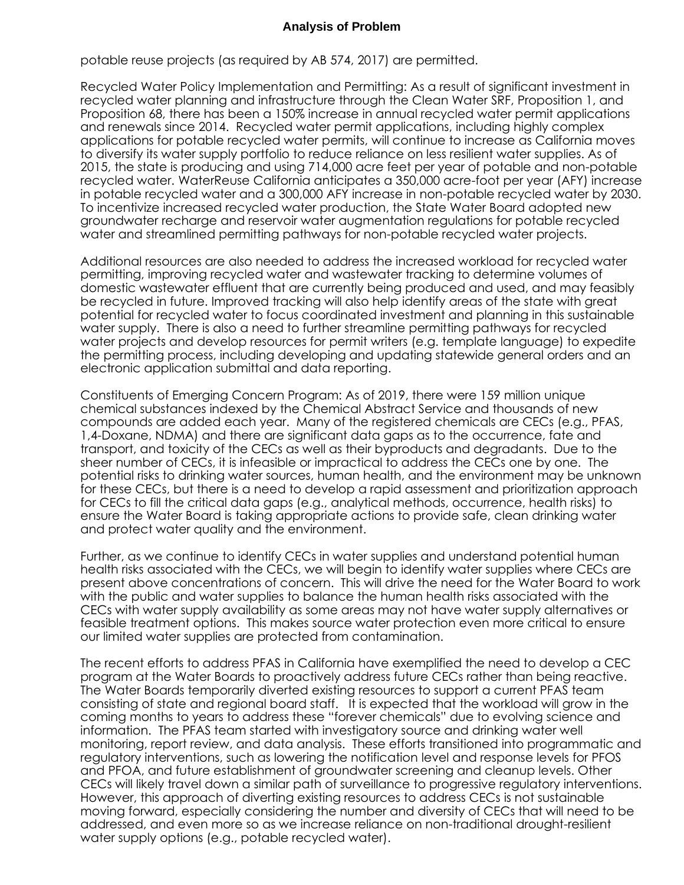potable reuse projects (as required by AB 574, 2017) are permitted.

Recycled Water Policy Implementation and Permitting: As a result of significant investment in recycled water planning and infrastructure through the Clean Water SRF, Proposition 1, and Proposition 68, there has been a 150% increase in annual recycled water permit applications and renewals since 2014. Recycled water permit applications, including highly complex applications for potable recycled water permits, will continue to increase as California moves to diversify its water supply portfolio to reduce reliance on less resilient water supplies. As of 2015, the state is producing and using 714,000 acre feet per year of potable and non-potable recycled water. WaterReuse California anticipates a 350,000 acre-foot per year (AFY) increase in potable recycled water and a 300,000 AFY increase in non-potable recycled water by 2030. To incentivize increased recycled water production, the State Water Board adopted new groundwater recharge and reservoir water augmentation regulations for potable recycled water and streamlined permitting pathways for non-potable recycled water projects.

Additional resources are also needed to address the increased workload for recycled water permitting, improving recycled water and wastewater tracking to determine volumes of domestic wastewater effluent that are currently being produced and used, and may feasibly be recycled in future. Improved tracking will also help identify areas of the state with great potential for recycled water to focus coordinated investment and planning in this sustainable water supply. There is also a need to further streamline permitting pathways for recycled water projects and develop resources for permit writers (e.g. template language) to expedite the permitting process, including developing and updating statewide general orders and an electronic application submittal and data reporting.

Constituents of Emerging Concern Program: As of 2019, there were 159 million unique chemical substances indexed by the Chemical Abstract Service and thousands of new compounds are added each year. Many of the registered chemicals are CECs (e.g., PFAS, 1,4-Doxane, NDMA) and there are significant data gaps as to the occurrence, fate and transport, and toxicity of the CECs as well as their byproducts and degradants. Due to the sheer number of CECs, it is infeasible or impractical to address the CECs one by one. The potential risks to drinking water sources, human health, and the environment may be unknown for these CECs, but there is a need to develop a rapid assessment and prioritization approach for CECs to fill the critical data gaps (e.g., analytical methods, occurrence, health risks) to ensure the Water Board is taking appropriate actions to provide safe, clean drinking water and protect water quality and the environment.

Further, as we continue to identify CECs in water supplies and understand potential human health risks associated with the CECs, we will begin to identify water supplies where CECs are present above concentrations of concern. This will drive the need for the Water Board to work with the public and water supplies to balance the human health risks associated with the CECs with water supply availability as some areas may not have water supply alternatives or feasible treatment options. This makes source water protection even more critical to ensure our limited water supplies are protected from contamination.

The recent efforts to address PFAS in California have exemplified the need to develop a CEC program at the Water Boards to proactively address future CECs rather than being reactive. The Water Boards temporarily diverted existing resources to support a current PFAS team consisting of state and regional board staff. It is expected that the workload will grow in the coming months to years to address these "forever chemicals" due to evolving science and information. The PFAS team started with investigatory source and drinking water well monitoring, report review, and data analysis. These efforts transitioned into programmatic and regulatory interventions, such as lowering the notification level and response levels for PFOS and PFOA, and future establishment of groundwater screening and cleanup levels. Other CECs will likely travel down a similar path of surveillance to progressive regulatory interventions. However, this approach of diverting existing resources to address CECs is not sustainable moving forward, especially considering the number and diversity of CECs that will need to be addressed, and even more so as we increase reliance on non-traditional drought-resilient water supply options (e.g., potable recycled water).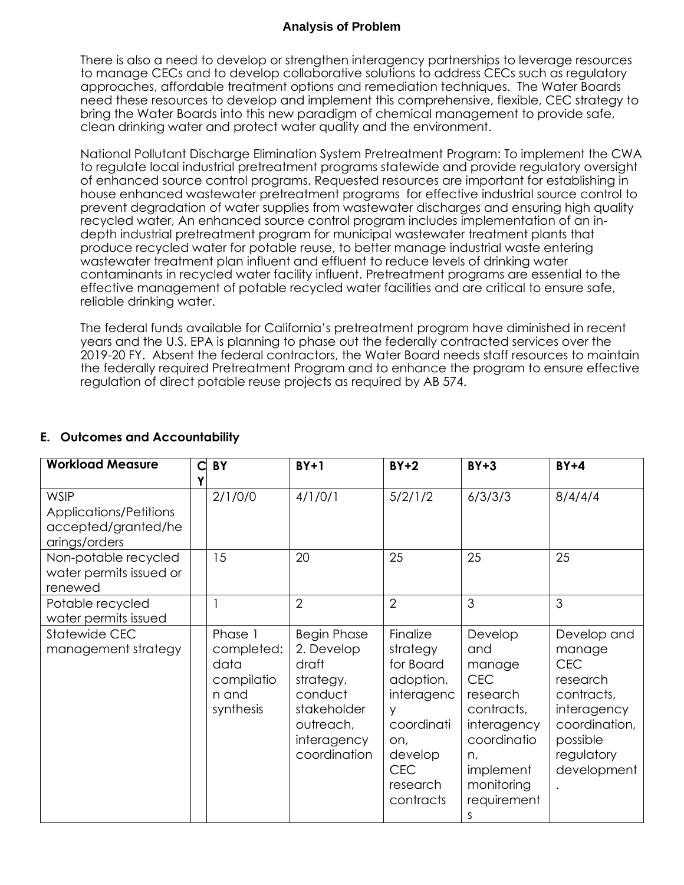There is also a need to develop or strengthen interagency partnerships to leverage resources to manage CECs and to develop collaborative solutions to address CECs such as regulatory approaches, affordable treatment options and remediation techniques. The Water Boards need these resources to develop and implement this comprehensive, flexible, CEC strategy to bring the Water Boards into this new paradigm of chemical management to provide safe, clean drinking water and protect water quality and the environment.

National Pollutant Discharge Elimination System Pretreatment Program: To implement the CWA to regulate local industrial pretreatment programs statewide and provide regulatory oversight of enhanced source control programs. Requested resources are important for establishing in house enhanced wastewater pretreatment programs for effective industrial source control to prevent degradation of water supplies from wastewater discharges and ensuring high quality recycled water, An enhanced source control program includes implementation of an indepth industrial pretreatment program for municipal wastewater treatment plants that produce recycled water for potable reuse, to better manage industrial waste entering wastewater treatment plan influent and effluent to reduce levels of drinking water contaminants in recycled water facility influent. Pretreatment programs are essential to the effective management of potable recycled water facilities and are critical to ensure safe, reliable drinking water.

The federal funds available for California's pretreatment program have diminished in recent years and the U.S. EPA is planning to phase out the federally contracted services over the 2019-20 FY. Absent the federal contractors, the Water Board needs staff resources to maintain the federally required Pretreatment Program and to enhance the program to ensure effective regulation of direct potable reuse projects as required by AB 574.

| <b>Workload Measure</b>                                                              | C | BY                                                                | $BY+1$                                                                                                                       | $BY+2$                                                                                                                                   | $BY + 3$                                                                                                                                            | $BY+4$                                                                                                                                 |
|--------------------------------------------------------------------------------------|---|-------------------------------------------------------------------|------------------------------------------------------------------------------------------------------------------------------|------------------------------------------------------------------------------------------------------------------------------------------|-----------------------------------------------------------------------------------------------------------------------------------------------------|----------------------------------------------------------------------------------------------------------------------------------------|
| <b>WSIP</b><br><b>Applications/Petitions</b><br>accepted/granted/he<br>arings/orders |   | 2/1/0/0                                                           | 4/1/0/1                                                                                                                      | 5/2/1/2                                                                                                                                  | 6/3/3/3                                                                                                                                             | 8/4/4/4                                                                                                                                |
| Non-potable recycled<br>water permits issued or<br>renewed                           |   | 15                                                                | 20                                                                                                                           | 25                                                                                                                                       | 25                                                                                                                                                  | 25                                                                                                                                     |
| Potable recycled<br>water permits issued                                             |   |                                                                   | $\overline{2}$                                                                                                               | $\overline{2}$                                                                                                                           | 3                                                                                                                                                   | 3                                                                                                                                      |
| Statewide CEC<br>management strategy                                                 |   | Phase 1<br>completed:<br>data<br>compilatio<br>n and<br>synthesis | <b>Begin Phase</b><br>2. Develop<br>draft<br>strategy,<br>conduct<br>stakeholder<br>outreach,<br>interagency<br>coordination | Finalize<br>strategy<br>for Board<br>adoption,<br>interagenc<br>V<br>coordinati<br>on,<br>develop<br><b>CEC</b><br>research<br>contracts | Develop<br>and<br>manage<br><b>CEC</b><br>research<br>contracts,<br>interagency<br>coordinatio<br>n,<br>implement<br>monitoring<br>requirement<br>S | Develop and<br>manage<br><b>CEC</b><br>research<br>contracts,<br>interagency<br>coordination,<br>possible<br>regulatory<br>development |

## **E. Outcomes and Accountability**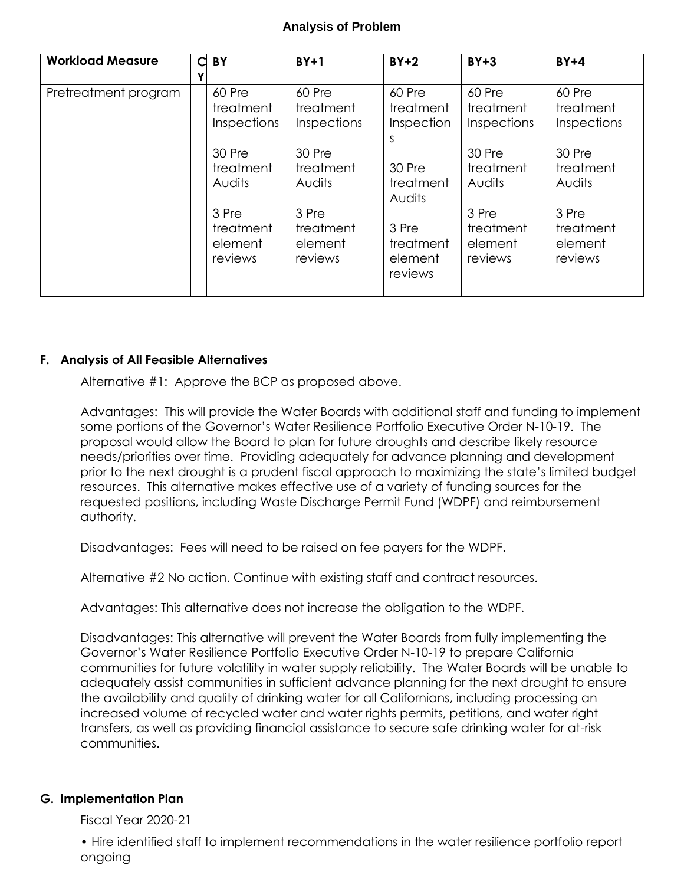| <b>Workload Measure</b> | Ć | BY          | $BY+1$      | $BY+2$              | $BY+3$      | $BY+4$      |
|-------------------------|---|-------------|-------------|---------------------|-------------|-------------|
|                         |   |             |             |                     |             |             |
| Pretreatment program    |   | 60 Pre      | 60 Pre      | 60 Pre              | 60 Pre      | 60 Pre      |
|                         |   | treatment   | treatment   | treatment           | treatment   | treatment   |
|                         |   | Inspections | Inspections | Inspection          | Inspections | Inspections |
|                         |   |             |             | S                   |             |             |
|                         |   | 30 Pre      | 30 Pre      |                     | 30 Pre      | 30 Pre      |
|                         |   | treatment   | treatment   | 30 Pre              | treatment   | treatment   |
|                         |   | Audits      | Audits      | treatment<br>Audits | Audits      | Audits      |
|                         |   | 3 Pre       | 3 Pre       |                     | 3 Pre       | 3 Pre       |
|                         |   | treatment   | treatment   | 3 Pre               | treatment   | treatment   |
|                         |   | element     | element     | treatment           | element     | element     |
|                         |   | reviews     | reviews     | element             | reviews     | reviews     |
|                         |   |             |             | reviews             |             |             |
|                         |   |             |             |                     |             |             |

#### **F. Analysis of All Feasible Alternatives**

Alternative #1: Approve the BCP as proposed above.

Advantages: This will provide the Water Boards with additional staff and funding to implement some portions of the Governor's Water Resilience Portfolio Executive Order N-10-19. The proposal would allow the Board to plan for future droughts and describe likely resource needs/priorities over time. Providing adequately for advance planning and development prior to the next drought is a prudent fiscal approach to maximizing the state's limited budget resources. This alternative makes effective use of a variety of funding sources for the requested positions, including Waste Discharge Permit Fund (WDPF) and reimbursement authority.

Disadvantages: Fees will need to be raised on fee payers for the WDPF.

Alternative #2 No action. Continue with existing staff and contract resources.

Advantages: This alternative does not increase the obligation to the WDPF.

Disadvantages: This alternative will prevent the Water Boards from fully implementing the Governor's Water Resilience Portfolio Executive Order N-10-19 to prepare California communities for future volatility in water supply reliability. The Water Boards will be unable to adequately assist communities in sufficient advance planning for the next drought to ensure the availability and quality of drinking water for all Californians, including processing an increased volume of recycled water and water rights permits, petitions, and water right transfers, as well as providing financial assistance to secure safe drinking water for at-risk communities.

#### **G. Implementation Plan**

Fiscal Year 2020-21

• Hire identified staff to implement recommendations in the water resilience portfolio report ongoing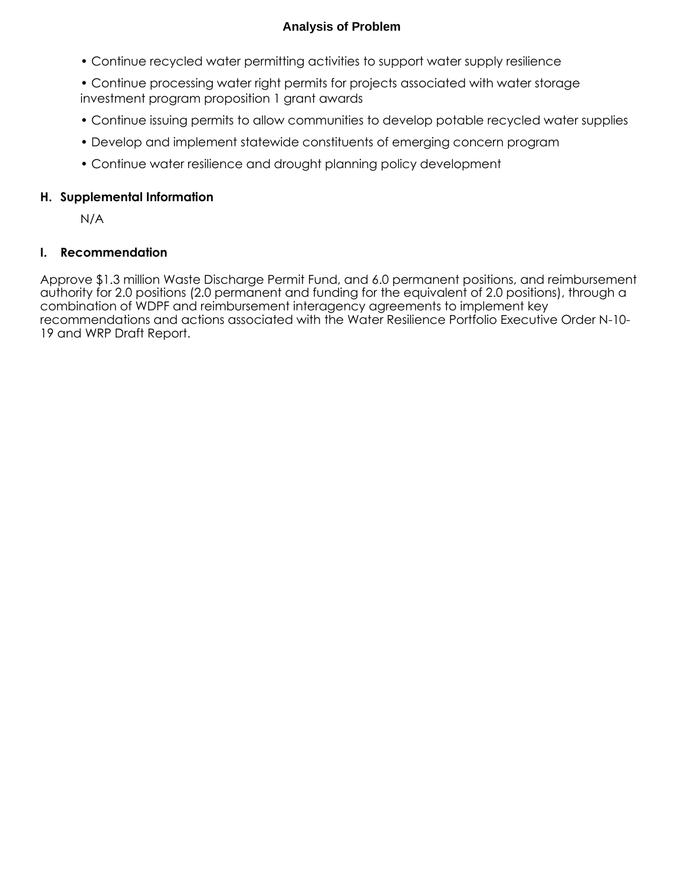- Continue recycled water permitting activities to support water supply resilience
- Continue processing water right permits for projects associated with water storage investment program proposition 1 grant awards
- Continue issuing permits to allow communities to develop potable recycled water supplies
- Develop and implement statewide constituents of emerging concern program
- Continue water resilience and drought planning policy development

### **H. Supplemental Information**

N/A

## **I. Recommendation**

Approve \$1.3 million Waste Discharge Permit Fund, and 6.0 permanent positions, and reimbursement authority for 2.0 positions (2.0 permanent and funding for the equivalent of 2.0 positions), through a combination of WDPF and reimbursement interagency agreements to implement key recommendations and actions associated with the Water Resilience Portfolio Executive Order N-10- 19 and WRP Draft Report.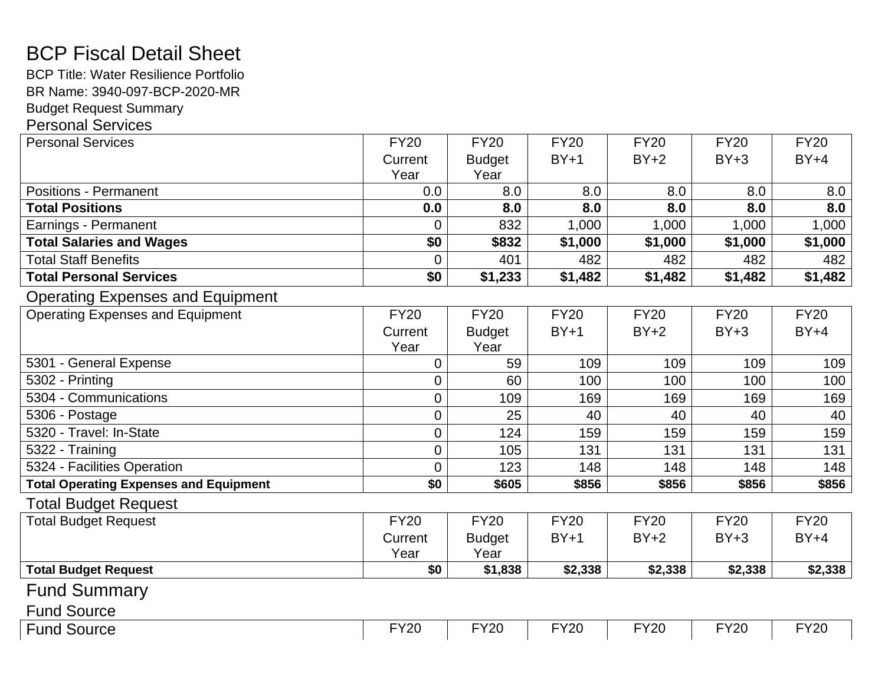# BCP Fiscal Detail Sheet

BCP Title: Water Resilience Portfolio BR Name: 3940 -097 -BCP -2020 -MR

Budget Request Summary

## Personal Services

| <b>Personal Services</b>                      | <b>FY20</b>     | <b>FY20</b>   | <b>FY20</b> | <b>FY20</b> | <b>FY20</b> | <b>FY20</b> |
|-----------------------------------------------|-----------------|---------------|-------------|-------------|-------------|-------------|
|                                               | Current         | <b>Budget</b> | $BY+1$      | $BY+2$      | $BY+3$      | $BY+4$      |
|                                               | Year            | Year          |             |             |             |             |
| <b>Positions - Permanent</b>                  | 0.0             | 8.0           | 8.0         | 8.0         | 8.0         | 8.0         |
| <b>Total Positions</b>                        | 0.0             | 8.0           | 8.0         | 8.0         | 8.0         | 8.0         |
| Earnings - Permanent                          | 0               | 832           | 1,000       | 1,000       | 1,000       | 1,000       |
| <b>Total Salaries and Wages</b>               | \$0             | \$832         | \$1,000     | \$1,000     | \$1,000     | \$1,000     |
| <b>Total Staff Benefits</b>                   | $\overline{0}$  | 401           | 482         | 482         | 482         | 482         |
| <b>Total Personal Services</b>                | $\overline{50}$ | \$1,233       | \$1,482     | \$1,482     | \$1,482     | \$1,482     |
| <b>Operating Expenses and Equipment</b>       |                 |               |             |             |             |             |
| <b>Operating Expenses and Equipment</b>       | <b>FY20</b>     | <b>FY20</b>   | <b>FY20</b> | <b>FY20</b> | <b>FY20</b> | <b>FY20</b> |
|                                               | Current         | <b>Budget</b> | $BY+1$      | $BY+2$      | $BY+3$      | $BY+4$      |
|                                               | Year            | Year          |             |             |             |             |
| 5301 - General Expense                        | $\overline{0}$  | 59            | 109         | 109         | 109         | 109         |
| 5302 - Printing                               | $\mathbf 0$     | 60            | 100         | 100         | 100         | 100         |
| 5304 - Communications                         | $\mathbf 0$     | 109           | 169         | 169         | 169         | 169         |
| 5306 - Postage                                | $\overline{0}$  | 25            | 40          | 40          | 40          | 40          |
| 5320 - Travel: In-State                       | $\overline{0}$  | 124           | 159         | 159         | 159         | 159         |
| 5322 - Training                               | $\overline{0}$  | 105           | 131         | 131         | 131         | 131         |
| 5324 - Facilities Operation                   | $\overline{0}$  | 123           | 148         | 148         | 148         | 148         |
| <b>Total Operating Expenses and Equipment</b> | \$0             | \$605         | \$856       | \$856       | \$856       | \$856       |
| <b>Total Budget Request</b>                   |                 |               |             |             |             |             |
| <b>Total Budget Request</b>                   | <b>FY20</b>     | <b>FY20</b>   | <b>FY20</b> | <b>FY20</b> | <b>FY20</b> | <b>FY20</b> |
|                                               | Current         | <b>Budget</b> | $BY+1$      | $BY+2$      | $BY+3$      | $BY+4$      |
|                                               | Year            | Year          |             |             |             |             |
| <b>Total Budget Request</b>                   | \$0             | \$1,838       | \$2,338     | \$2,338     | \$2,338     | \$2,338     |
| <b>Fund Summary</b>                           |                 |               |             |             |             |             |
| <b>Fund Source</b>                            |                 |               |             |             |             |             |
| <b>Fund Source</b>                            | <b>FY20</b>     | <b>FY20</b>   | <b>FY20</b> | <b>FY20</b> | <b>FY20</b> | <b>FY20</b> |
|                                               |                 |               |             |             |             |             |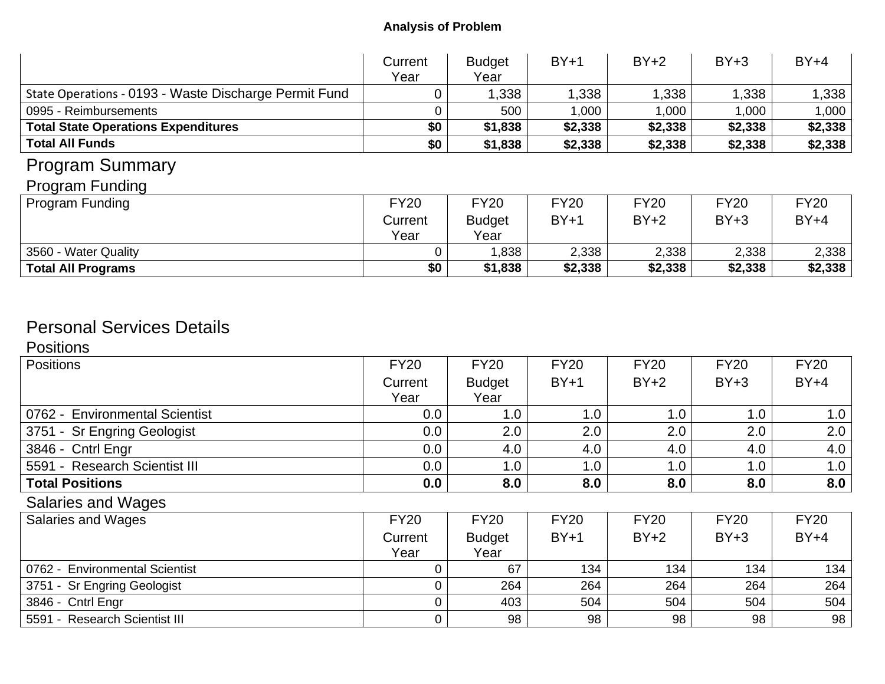|                                                       | Current<br>Year | <b>Budget</b><br>Year | $BY+1$      | $BY+2$      | $BY+3$      | $BY+4$      |
|-------------------------------------------------------|-----------------|-----------------------|-------------|-------------|-------------|-------------|
| State Operations - 0193 - Waste Discharge Permit Fund |                 | .338                  | 1,338       | 1,338       | 1,338       | 1,338       |
| 0995 - Reimbursements                                 |                 | 500                   | 1,000       | 1,000       | 1,000       | 1,000       |
| <b>Total State Operations Expenditures</b>            | \$0             | \$1,838               | \$2,338     | \$2,338     | \$2,338     | \$2,338     |
| <b>Total All Funds</b>                                | \$0             | \$1,838               | \$2,338     | \$2,338     | \$2,338     | \$2,338     |
| <b>Program Summary</b>                                |                 |                       |             |             |             |             |
| <b>Program Funding</b>                                |                 |                       |             |             |             |             |
| <b>Program Funding</b>                                | <b>FY20</b>     | <b>FY20</b>           | <b>FY20</b> | <b>FY20</b> | <b>FY20</b> | <b>FY20</b> |
|                                                       | Current         | <b>Budget</b>         | $BY+1$      | $BY+2$      | $BY+3$      | $BY+4$      |
|                                                       | Year            | Year                  |             |             |             |             |
| 3560 - Water Quality                                  |                 | 838, 1                | 2,338       | 2,338       | 2,338       | 2,338       |
| <b>Total All Programs</b>                             | \$0             | \$1,838               | \$2,338     | \$2,338     | \$2,338     | \$2,338     |

# Personal Services Details

**Positions** 

| <b>Positions</b>               | <b>FY20</b> | <b>FY20</b>   | <b>FY20</b> | <b>FY20</b> | <b>FY20</b> | <b>FY20</b> |
|--------------------------------|-------------|---------------|-------------|-------------|-------------|-------------|
|                                | Current     | <b>Budget</b> | $BY+1$      | $BY+2$      | $BY+3$      | $BY+4$      |
|                                | Year        | Year          |             |             |             |             |
| 0762 - Environmental Scientist | 0.0         | 1.0           | 1.0         | 1.0         | 1.0         | 1.0         |
| 3751 - Sr Engring Geologist    | 0.0         | 2.0           | 2.0         | 2.0         | 2.0         | 2.0         |
| 3846 - Cntrl Engr              | 0.0         | 4.0           | 4.0         | 4.0         | 4.0         | 4.0         |
| 5591 - Research Scientist III  | 0.0         | 1.0           | 1.0         | 1.0         | 1.0         | 1.0         |
| <b>Total Positions</b>         | 0.0         | 8.0           | 8.0         | 8.0         | 8.0         | 8.0         |
| <b>Salaries and Wages</b>      |             |               |             |             |             |             |
| <b>Salaries and Wages</b>      | <b>FY20</b> | <b>FY20</b>   | <b>FY20</b> | <b>FY20</b> | <b>FY20</b> | <b>FY20</b> |
|                                | Current     | <b>Budget</b> | $BY+1$      | $BY+2$      | $BY+3$      | $BY+4$      |
|                                | Year        | Year          |             |             |             |             |
| 0762 - Environmental Scientist |             | 67            | 134         | 134         | 134         | 134         |
| 3751 - Sr Engring Geologist    |             | 264           | 264         | 264         | 264         | 264         |
| 3846 - Cntrl Engr              |             | 403           | 504         | 504         | 504         | 504         |
| 5591 - Research Scientist III  |             | 98            | 98          | 98          | 98          | 98          |